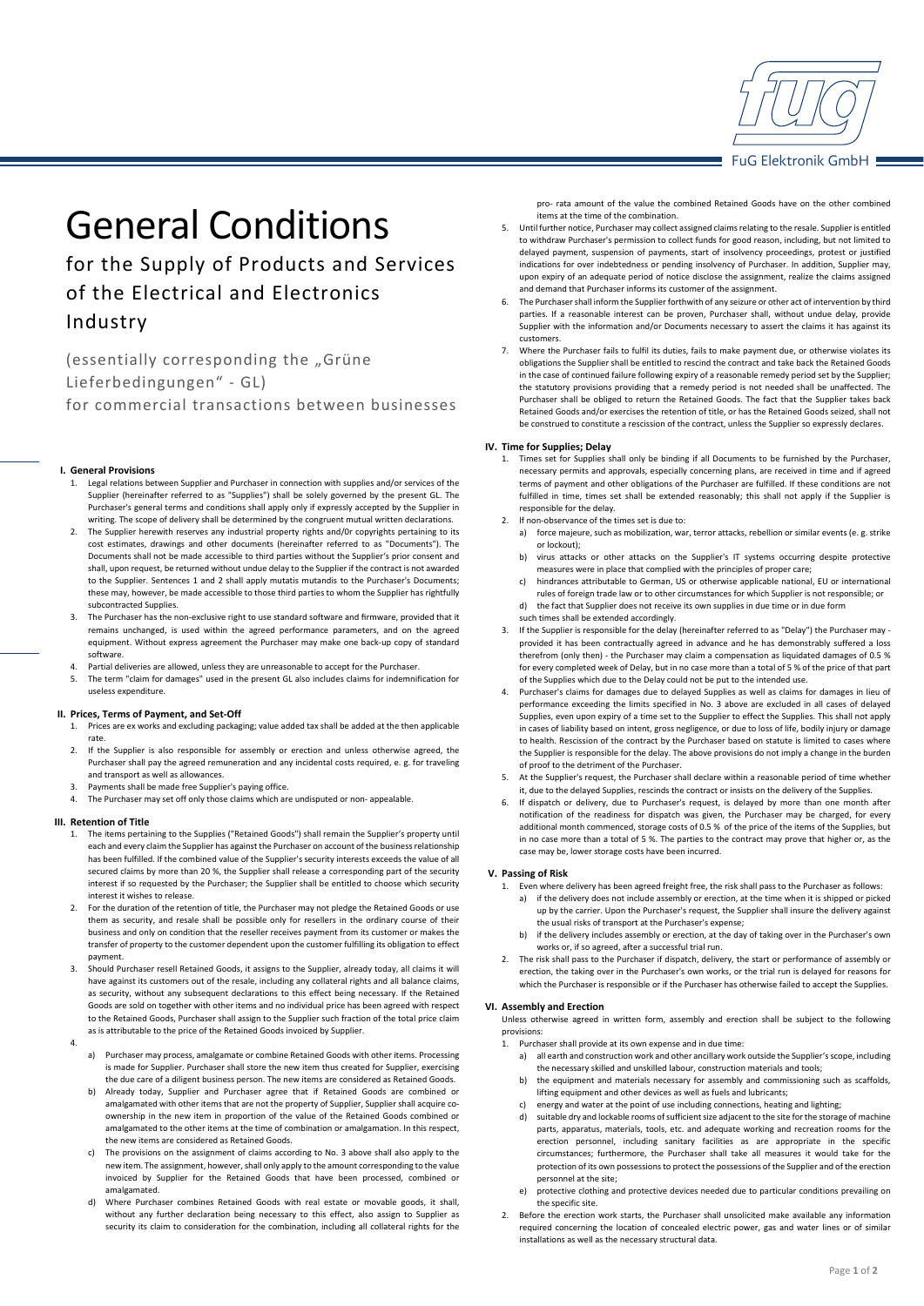

# General Conditions

for the Supply of Products and Services of the Electrical and Electronics Industry

(essentially corresponding the "Grüne Lieferbedingungen" ‐ GL) for commercial transactions between businesses

## **I. General Provisions**

- 1. Legal relations between Supplier and Purchaser in connection with supplies and/or services of the Supplier (hereinafter referred to as "Supplies") shall be solely governed by the present GL. The Purchaser's general terms and conditions shall apply only if expressly accepted by the Supplier in writing. The scope of delivery shall be determined by the congruent mutual written declarations.
- 2. The Supplier herewith reserves any industrial property rights and/0r copyrights pertaining to its cost estimates, drawings and other documents (hereinafter referred to as "Documents"). The Documents shall not be made accessible to third parties without the Supplier's prior consent and shall, upon request, be returned without undue delay to the Supplier if the contract is not awarded to the Supplier. Sentences 1 and 2 shall apply mutatis mutandis to the Purchaser's Documents; these may, however, be made accessible to those third parties to whom the Supplier has rightfully subcontracted Supplies.
- The Purchaser has the non-exclusive right to use standard software and firmware, provided that it remains unchanged, is used within the agreed performance parameters, and on the agreed equipment. Without express agreement the Purchaser may make one back‐up copy of standard software.
- Partial deliveries are allowed, unless they are unreasonable to accept for the Purchaser
- 5. The term "claim for damages" used in the present GL also includes claims for indemnification for useless expenditure.

## **II. Prices, Terms of Payment, and Set‐Off**

- Prices are ex works and excluding packaging; value added tax shall be added at the then applicable rate.
- 2. If the Supplier is also responsible for assembly or erection and unless otherwise agreed, the Purchaser shall pay the agreed remuneration and any incidental costs required, e. g. for traveling and transport as well as allowances.
- 3. Payments shall be made free Supplier's paying office.
- 4. The Purchaser may set off only those claims which are undisputed or non-appealable.

# **III. Retention of Title**

- 1. The items pertaining to the Supplies ("Retained Goods") shall remain the Supplier's property until each and every claim the Supplier has against the Purchaser on account of the business relationship has been fulfilled. If the combined value of the Supplier's security interests exceeds the value of all secured claims by more than 20 %, the Supplier shall release a corresponding part of the security interest if so requested by the Purchaser; the Supplier shall be entitled to choose which security interest it wishes to release.
- 2. For the duration of the retention of title, the Purchaser may not pledge the Retained Goods or use them as security, and resale shall be possible only for resellers in the ordinary course of their business and only on condition that the reseller receives payment from its customer or makes the transfer of property to the customer dependent upon the customer fulfilling its obligation to effect payment.
- 3. Should Purchaser resell Retained Goods, it assigns to the Supplier, already today, all claims it will have against its customers out of the resale, including any collateral rights and all balance claims, as security, without any subsequent declarations to this effect being necessary. If the Retained Goods are sold on together with other items and no individual price has been agreed with respect to the Retained Goods, Purchaser shall assign to the Supplier such fraction of the total price claim as is attributable to the price of the Retained Goods invoiced by Supplier.

4.

- a) Purchaser may process, amalgamate or combine Retained Goods with other items. Processing is made for Supplier. Purchaser shall store the new item thus created for Supplier, exercising the due care of a diligent business person. The new items are considered as Retained Goods.
- Already today, Supplier and Purchaser agree that if Retained Goods are combined or amalgamated with other items that are not the property of Supplier, Supplier shall acquire coownership in the new item in proportion of the value of the Retained Goods combined or amalgamated to the other items at the time of combination or amalgamation. In this respect, the new items are considered as Retained Goods.
- The provisions on the assignment of claims according to No. 3 above shall also apply to the new item. The assignment, however, shall only apply to the amount corresponding to the value invoiced by Supplier for the Retained Goods that have been processed, combined or amalgamated.
- d) Where Purchaser combines Retained Goods with real estate or movable goods, it shall, without any further declaration being necessary to this effect, also assign to Supplier as security its claim to consideration for the combination, including all collateral rights for the

pro- rata amount of the value the combined Retained Goods have on the other combined items at the time of the combination.

- 5. Until further notice, Purchaser may collect assigned claims relating to the resale. Supplier is entitled to withdraw Purchaser's permission to collect funds for good reason, including, but not limited to delayed payment, suspension of payments, start of insolvency proceedings, protest or justified indications for over indebtedness or pending insolvency of Purchaser. In addition, Supplier may, upon expiry of an adequate period of notice disclose the assignment, realize the claims assigned and demand that Purchaser informs its customer of the assignment.
- 6. The Purchaser shall inform the Supplier forthwith of any seizure or other act of intervention by third parties. If a reasonable interest can be proven, Purchaser shall, without undue delay, provide Supplier with the information and/or Documents necessary to assert the claims it has against its customers.
- 7. Where the Purchaser fails to fulfil its duties, fails to make payment due, or otherwise violates its obligations the Supplier shall be entitled to rescind the contract and take back the Retained Goods in the case of continued failure following expiry of a reasonable remedy period set by the Supplier; the statutory provisions providing that a remedy period is not needed shall be unaffected. The Purchaser shall be obliged to return the Retained Goods. The fact that the Supplier takes back Retained Goods and/or exercises the retention of title, or has the Retained Goods seized, shall not be construed to constitute a rescission of the contract, unless the Supplier so expressly declares.

## **IV. Time for Supplies; Delay**

- 1. Times set for Supplies shall only be binding if all Documents to be furnished by the Purchaser, necessary permits and approvals, especially concerning plans, are received in time and if agreed terms of payment and other obligations of the Purchaser are fulfilled. If these conditions are not fulfilled in time, times set shall be extended reasonably; this shall not apply if the Supplier is responsible for the delay.
- 2. If non-observance of the times set is due to:
	- a) force majeure, such as mobilization, war, terror attacks, rebellion or similar events (e. g. strike or lockout);
	- b) virus attacks or other attacks on the Supplier's IT systems occurring despite protective measures were in place that complied with the principles of proper care;
	- c) hindrances attributable to German, US or otherwise applicable national, EU or international rules of foreign trade law or to other circumstances for which Supplier is not responsible; or d) the fact that Supplier does not receive its own supplies in due time or in due form
	- such times shall be extended accordingly.
- If the Supplier is responsible for the delay (hereinafter referred to as "Delay") the Purchaser may provided it has been contractually agreed in advance and he has demonstrably suffered a loss therefrom (only then) ‐ the Purchaser may claim a compensation as liquidated damages of 0.5 % for every completed week of Delay, but in no case more than a total of 5 % of the price of that part of the Supplies which due to the Delay could not be put to the intended use.
- 4. Purchaser's claims for damages due to delayed Supplies as well as claims for damages in lieu of performance exceeding the limits specified in No. 3 above are excluded in all cases of delayed Supplies, even upon expiry of a time set to the Supplier to effect the Supplies. This shall not apply in cases of liability based on intent, gross negligence, or due to loss of life, bodily injury or damage to health. Rescission of the contract by the Purchaser based on statute is limited to cases where the Supplier is responsible for the delay. The above provisions do not imply a change in the burden of proof to the detriment of the Purchaser.
- 5. At the Supplier's request, the Purchaser shall declare within a reasonable period of time whether it, due to the delayed Supplies, rescinds the contract or insists on the delivery of the Supplies.
- 6. If dispatch or delivery, due to Purchaser's request, is delayed by more than one month after notification of the readiness for dispatch was given, the Purchaser may be charged, for every additional month commenced, storage costs of 0.5 % of the price of the items of the Supplies, but in no case more than a total of 5 %. The parties to the contract may prove that higher or, as the case may be, lower storage costs have been incurred.

### **V. Passing of Risk**

- 1. Even where delivery has been agreed freight free, the risk shall pass to the Purchaser as follows:
	- a) if the delivery does not include assembly or erection, at the time when it is shipped or picked up by the carrier. Upon the Purchaser's request, the Supplier shall insure the delivery against the usual risks of transport at the Purchaser's expense;
	- if the delivery includes assembly or erection, at the day of taking over in the Purchaser's own works or, if so agreed, after a successful trial run.
- 2. The risk shall pass to the Purchaser if dispatch, delivery, the start or performance of assembly or erection, the taking over in the Purchaser's own works, or the trial run is delayed for reasons for which the Purchaser is responsible or if the Purchaser has otherwise failed to accept the Supplies.

### **VI. Assembly and Erection**

Unless otherwise agreed in written form, assembly and erection shall be subject to the following provisions:

- 1. Purchaser shall provide at its own expense and in due time:
	- a) all earth and construction work and other ancillary work outside the Supplier's scope, including the necessary skilled and unskilled labour, construction materials and tools;
	- b) the equipment and materials necessary for assembly and commissioning such as scaffolds, lifting equipment and other devices as well as fuels and lubricants;
	- energy and water at the point of use including connections, heating and lighting;
	- d) suitable dry and lockable rooms of sufficient size adjacent to the site for the storage of machine parts, apparatus, materials, tools, etc. and adequate working and recreation rooms for the erection personnel, including sanitary facilities as are appropriate in the specific circumstances; furthermore, the Purchaser shall take all measures it would take for the protection of its own possessions to protect the possessions of the Supplier and of the erection personnel at the site;
	- e) protective clothing and protective devices needed due to particular conditions prevailing on the specific site.
- 2. Before the erection work starts, the Purchaser shall unsolicited make available any information required concerning the location of concealed electric power, gas and water lines or of similar installations as well as the necessary structural data.